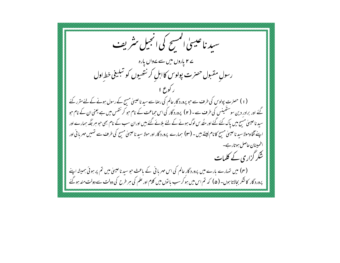سید ناعیسیٰ المسح کی انجیل منٹر رہف ے **۲** یاروں میں سے <sub>م</sub>ےواں یارہ رسولِ مقبولِ حصرٰت بولوس کااہل کر نتھیوں کو تبلیغی خط اول ر کوع ا (۱) حصرت پولوس کی طرف سے حو پرورد گار عالم کی رضا سے سید ناعیسیٰ مسح کے رسول ہونے کے لئے مقرر کئے گئے اور برادر دین سوستھینس کی طرف سے ۔ ( ۲ ) پرورد گار کی اس حماعت کے نام حبو کر نتھس میں ہے یعنی ان کے نام حبو سید ناعیسیٰ مسیح میں پاک کئے گئے اور مقُدس لوگ ہونے کے لئے بلائے گئے بیں اوران سب کے نام بھی حو ہر جگہ ہمارے اور اپنے آقا ومولا سید ناعیسیٰ مسیح کانام لیتے ہیں ۔ (۳) ہمارے پرورد گار اور مولا سید ناعیسیٰ مسیح کی طرف سے تہیں مہر بانی اور اطمینان حاصل ہو تارہے۔ شکر گزاری کے کلمات (۴) میں تہارے بارے میں پرورد گار عالم کی اس مہربانی کے باعث حو سیدناعیسیٰ میں تم پر ہوئی ہمیشہ اپنے پرورد گار کا ننگر بجالاتا ہوں۔ ( ۵ ) کہ تم اس میں ہو گرسب با توں میں کلام اور علم کی ہر طرح کی دولت سے دولت مند ہوگئے گ</mark>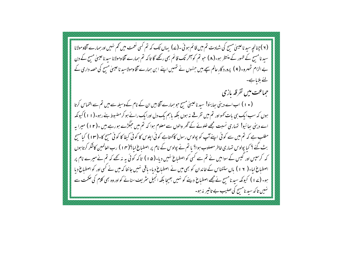( ۲ ) چنانچہ سید ناعیسیٰ مسح کی شہادت تم میں قائم ہو ئی ۔( ۷ ) یہاں تک کہ تم کسی نعمت میں کم نہیں اور ہمارے آقاومولانا سید نامسح کے ظہور کے منتظر ہو۔( ۸) حبو تم کو آخر تک قائم بھی رکھے گا تاکہ تم ہمارے آقا ومولانا سید ناعیسیٰ مسح کے دن بے الزام ٹھہرو۔( ۹ ) پرورد گار عالم سچے بیں جنہوں نے تہیں اپنے ابن ہمارے آقا ومولاسید ناعیسیٰ مسح کی حصہ داری کے لئے بلایا ہے۔ حماعت میں تفرقہ بازی ( • ۱ ) اب اے دینی ہجا یئو! سید ناعیبیٰ مسح حوہمارے آقابیں ان کے نام کےوسیلہ سے میں تم سے التماس کرتا ہوں کہ سب ایک ہی بات کھواور تم میں تفرقے نہ ہوں بلکہ باہم یک دل اورایک رائے ہو کر مضبوط بنے رہو۔(۱۱)کیونکہ اے دینی جائیو! تہاری نسبت مجھے خلونے کے ٹھر والوں سے معلوم ہوا کہ تم میں حجگڑے ہورہے،میں ۔( ۲ ا ) میرا بہ مطلب ہے کہ تم میں سے کوئی اپنےآپ کو یولوس رسول کاکھتاہے کوئی ایلوس کا کوئی کیفا کا کوئی مسح کا-(۱۳) کیامسح بٹ گئے ؟ کیا پولوس نتہاری خاطر مصلوب ہوا؟ یا تم نے پولوس کے نام پر اصطباع لیا؟( ۱۴ ) رب العالمین کاشکر کرتا ہوں کہ کرسپس اور کیس کے سوامیں نے تم سے کسی کو اصطباع نہیں دیا۔(ھ۱) تاکہ کوئی یہ نہ کھے کہ تم نے میرے نام پر اصطباع لیا۔( ۱۲) باں ستفناس کے خاندان کو بھی میں نے اصطباع دیا۔ ہاقی نہیں جانتا کہ میں نے کسی اور کواصطباع دیا ہو۔ (ے ۱ ) کیونکہ سید نامسح نے مجھے اصطباع دینے کو نہیں بھیجا بلکہ انجیل سٹریف سنانے کواور وہ بھی کلام کی صحمت سے ینہیں تاکہ سید نامسح کی صلیب بے تاثیر یہ ہو۔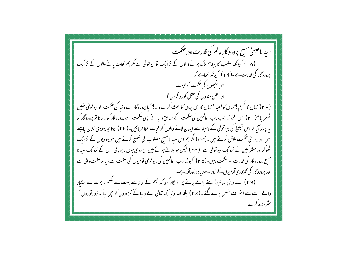سید ناعیسیٰ مسح پرورد گار عالم کی قدرت اور حکمت (۱۸) کیونکہ صلیب کا پیغام ہلاک ہونے والوں کے نزدیک تو بیوقوفی ہے مگر ہم نحات پانے والوں کے نزدیک پرورد گار کی قدرت ہے۔( ۱۹ ) کیونکہ لکھاہے کہ میں حکیموں کی حکمت کو نیست اور عقل مندوں کی عقل کورد کروں گا۔ ( • ٢ ) حماں کا حکیم ہیںجاں کا فقیہ ہیںجاں کا اس حہان کا بحث کرنے والا ہی کیا پرور دگار نے د نیا کی حکمت کو بیوقوفی نہیں ٹھہرا یا؟ ( ۲۱ ) اس لئے کہ حب رب العالمین کی حکمت کے مطابق د نیانے اپنی حکمت سے پرورد گار کو مہ جانا تو پرورد گار کو بہ پسند آیا کہ اس تبلیغ کی بیوقوفی کے وسیلہ سے ایمان لانے والوں کو نجات عطا فرمائیں-(۲۳) چنانچہ یہودی نشان چاہتے بیں اور یونا فی حکمت تلاش کرتے ہیں ۔(۲۳ ) مگر ہم اس سید نامسح مصلوب کی تبلیغ کرتے ہیں جو یہودیوں کے نزدیک ٹھوکر اور مشر کین کے نزدیک بیوقوفی ہے۔(۲۴ ) لیکن حو بلائے ہوئے بیں۔ یہودی ہوں یا یونانی۔ان کے نزدیک سیدنا مسح پرورد گار کی قدرت اور حکمت بیں۔( ۲۵ ) کیونکہ رب العالمین کی بیوقوفی آدمیوں کی حکمت سے زیادہ حکمت والی ہے اور پرورد گار کی تمزوری آدمیوں کے زور سے زیادہ زورآور ہے۔ (۲ ۲) اے دینی سِائیو! اپنے بلائے جانے پر نو لگاہ کرو کہ جسم کے لحاظ سے بہت سے حکیم ۔ بہت سے اختیار والے بہت سے انثراف نہیں بلائے گئے ۔(ے ۲) بلکہ اللہ و تبارک تعالیٰ نے دنیا کے محمزوروں کو حپن لیا کہ زور آور وں کو سٹرمندہ کرے۔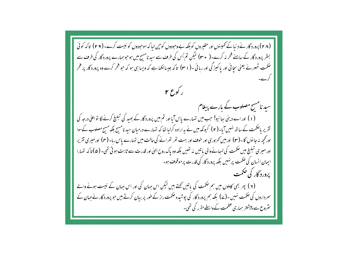(۲۸) پرورد گار نے د نیا کے تمہینوں اور حقیروں کو بلکہ بے وحبودوں کوحین لیا کہ موحبودوں کو نیست کرے۔( ۲۹) تاکہ کوئی بسٹر پرورد گار کے سامنے فخریہ کرے۔( + ۳) لیکن تم اُس کی طرف سے سید نامسح میں ہوجو ہمارے پرورد گار کی طرف سے حکمت ٹھہر ئے یعنی سچائی اور یا کیز گی اور رہائی ۔( ا ۳ ) تا کہ جیسالکھا ہے کہ ویسا ہی ہو کہ حو فخر کرے وہ پرورد گار پر فخر ر کورع ۲ سید نامسح مصلوب کے بارے پیغام (۱) اور اے دینی ہجائیو! حب میں تہارے پاس آبااور تم میں پرورد گار کے بھید کی تبلیغ کرنے لگا نواعلیٰ درجہ کی تقریر باحکمت کے ساتھ نہیں آیا-(۲) کیونکہ میں نے یہ ارادہ کرلیا تھا کہ تہمارے درمیان سید نامسح بلکہ مسح مصلوب کےسوا اور تحیے نہ جا نوں گا۔(۳) اور میں تھروری اور خوف اور بہت تھر تھرانے کی حالت میں تہارے پاس رہا۔ (۴) اور میری تقریر اور میری تبلیخ میں حکمت کی لسانے والی باتیں نہ تھیں بلکہ وہ پاک روح الہٰیٰ اور قدرت سے ثابت ہو تی تھی۔ ( ۵) تا کہ تہارا ایمان انسان کی حکمت پر نہیں بلکہ پرورد گار کی قدرت پرموقوف ہو۔ یرورد گار کی حکمت ( ۲ ) بھر بھی کاملوں میں ہم صحمت کی باتیں تھتے ہیں لیکن اس حہان کی اور اس حہان کے نیست ہونے والے سمرداروں کی صحمت نہیں ۔(ے) بلکہ ہم پرورد گار کی پوشیدہ صحمت راز کے طور پر بیان کرتے ہیں جو پرورد گار نے حہان کے سٹروع سے پیشنتر سماری عظمت کے واسطے مقرر کی تھی۔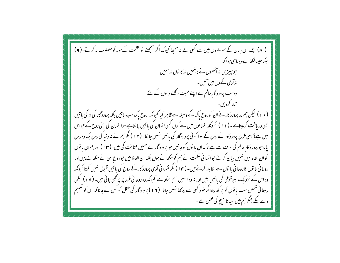( A ) جسے اس حہان کے سمر داروں میں سے کسی نے نہ سمحیا کیونکہ اگر سمجھتے تو عظمت کے مولا کومصلوب نہ کرتے۔ ( ۹ ) بلکہ جیسالکھاہےویسا سی ہوا کہ حوحییزیں نہ آنکھوں نے دیکھیں نہ کا نوں نہ سنیں یہ آدمی کے دل میں آئیں۔ وہ سب پرورد گار عالم نے اپنے محبت رکھنےوالوں کے لئے تیار کردیں۔ ( • ۱ ) لیکن ہم پر پرورد گار نے ان کوروح پاک کے وسیلہ سے ظاہر کیا کیونکہ روح پاک سب ماتیں بلکہ پرورد گار کی تہ کی باتیں بھی دریافت کراپیتاہے۔ (۱۱) کیونکہ انسانوں میں سے کون کسی انسان کی باتیں جا نتاہے سواانسان کی اپنی روح کے حواس میں ہے؟اسی طرح پرورد گار کے روح کے سوا کو ئی پرورد گار کی باتیں نہیں جا نتا۔ ( ۲ ۱ ) گمر ہم نے نہ د نیا کی روح بلكہ وہ روح یا با حو پرورد گار عالم کی طرف سے ہے تاکہ ان یا توں کو جانیں حو پرورد گار نے ہمیں عنائت کی بیں۔(۱۳) اور ہم ان یا توں کو ان الفاظ میں نہیں بیان کرتے حوا نسا فی حکمت نے ہم کوسکھائے ہوں بلکہ ان الفاظ میں حوروح العلٰ نے سکھائے بیں اور روحا فی یا نوں کاروحا فی یا نوں سے مقابلہ کرتے ہیں۔ ( ۱۴ ) مگر نفسا فی آدمی پرورد گار کے روح کی یا تین قبول نہیں کرتا کیونکہ وہ اس کے نزدیک بیوقوفی کی باتیں بیں اور یہ وہ انہیں سمجھ سکتا ہے کیونکہ وہ روحانی طور پر پر کھی جاتی ہیں۔ (۵۱) لیکن روحا فی شخص سب یا نوں کو پر کھ لیتا مگر خود کسی سے پر بھا نہیں جاتا۔( ۱ ۲ ) پرورد گار کی عقل کو کس نے جانا کہ اس کو تعلیم دے سکے ؟مگر ہم میں سید نامسح کی عقل ہے۔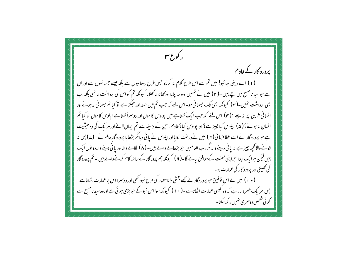ر کورع سل یرورد گار کے خادم (۱) اے دینی پھائیو! میں تم سے اس طرح کلام نہ کر یکا جس طرح روحانیوں سے بلکہ جیسے جسمانیوں سے اور ان سے حوسبد نامسیح میں بچے ہیں ۔(٢) میں نے تہیں دودھ پلایا اور کھانا نہ کھلایا کیونکہ تم کو اس کی برداشت نہ تھی بلکہ اب بھی برداشت نہیں۔(سو) کیونکہ ابھی تک حسمانی ہو۔اس لئے کہ حب تم میں حسد اور حِمَکُڑا ہے تو کیا تم حسمانی نہ ہوئے اور انسا فی طریق پر نہ چلے ؟(مہ) اس لئے کہ جب ایک کھتاہے میں یولوس کا ہوں اور دوسمراکھتا ہے ایلوس کا ہوں تو کیا تم انسان نہ ہوئے؟ ( ۵ ) ایلوس کیا چیز ہے؟ اور پولوس کیا؟ خادم۔ حن کے وسیلہ سے تم ایمان لائے اور ہرایک کی وہ حیثیت ہے جو پرورد گار نے اسے عطا فرما ئی ( ۲ ) میں نےدرخت لگا یا اورا پلوس نے یا فی دیا مگر بڑھا یا پرورد گار عالم نے ۔ (ے) پس نہ لگانے والانحجیہ جیپز ہے نہ یا فی دینے والا مگر رب العالمین حو بڑھانے والے ہیں۔ ( ۸ ) لگانے والا اور یا فی دینے والا دو نوں ایک بیں لیکن ہرایک اپنااحرا پنی محنت کےموافق پائے گا۔( ۹ ) کیونکہ ہم پرورگار کے ساتھ کام کرنےوالے بیں ۔ تم پروردگار کی تھیتی اور پرورد گار کی عمارت ہو۔ ( • ۱ ) میں نے اس نوفیق حو یرورد گار نے مجھے بخشی دانامعمار کی طرح نیورکھی اور دوسمرا اس پر عمارت اٹھاتاہے۔ پس ہرایک خسر دار رہے کہ وہ کیسی عمارت اٹھاتاہے ۔(۱۱) کیونکہ سوا اس نیو کے حو پڑمی ہوئی ہے اوروہ سید نامسح ہے کو ئی شخص دوسمری نهیں رکھ سکتا۔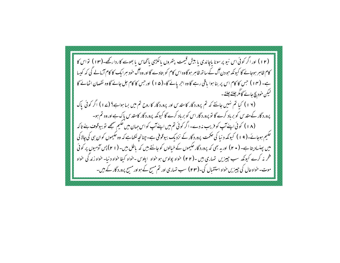(۱۲) اور اگر کوئی اس نیو پر سونا پاچاندی یا بیش قیمت پتھروں پالکڑی پاٹھاس یا بھوسے کاردارکھے۔(۱۳) تواس کا کام ظاہر ہوجائے گا کیونکہ حبودن گ کے ساتھ ظاہر ہوگاوہ اس کام کو بتادے گا اور وہ گ حنود ہرایک کاکام آزمالے گی کہ کیسا ہے۔ (۱۴) جس کا کام اس پر بنا ہوا یاقی رہے گا وہ احریائے گا۔(۱۵) اور جس کا کام جل جائے گا وہ نقصان اٹھائے گا گیکن خود کچ جائے گامگر جلتے جلتے۔ (۱۲) کیا تم نہیں جانتے کہ تم پرورد گار کا مقدس اور پرورد گار کا روح تم میں بسا ہواہے؟ (۲۱) اگر کوئی پاک پرورد گار کےمقدس کو برباد کرے گا تو پرورد گار اس کو برباد کرے گا کیونکہ پرورد گار کامقدس پاک ہے اور وہ تم ہو۔ (۸ ۱ ) کوئی اپنےآپ کو فریب نہ دے۔اگر کوئی تم میں اپنےآپ کواس جہان میں حکیم سمجھے تو بیوقوف بنے تاکہ حکیم ہوجائے۔( ۹ ) کیونکہ د نیا کی حکمت پرورد گار کے نزدیک بیوقوفی ہے۔چنانچہ لکھاہے کہ وہ حکیموں کوان ہی کی چالا کی میں ہیپنسادیتا ہے۔ ( ٭ ۲ ) اور یہ بھی کہ پرورد گار حکیموں کے خیالوں کو جانتے بیں کہ پاطل بیں۔ ( ۱ ۲ ) پس آدمیوں پر کوئی فخر نہ کرے کیونکہ سب چیزیں تہاری بیں ۔(۲۲) خواہ پولوس ہو خواہ ایلوس -خواہ کہفا خواہ د نیا- خواہ زند گی خواہ موت۔ خواہ حال کی چییزیں خواہ استقبال کی۔(۲۳) سب نتہاری اور تم مسح کے ہواور مسح پرورد گار کے ہیں۔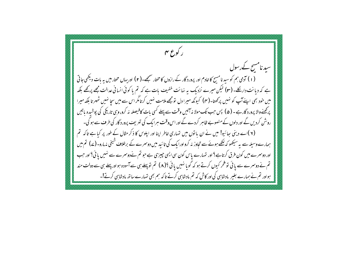کوع م سید نامسح کےرسول (۱) آدمی ہم کو سید نامسیح کا خادم اور پرورد گار کے رازوں کا مختار سمجھے۔(۲) اور بہاں مختار میں یہ بات دیکھی جاتی ہے کہ دیانت دار لگا۔ (۳) لیکن میرے نزدیک یہ نہائت خفیف بات ہے کہ تم یا کوئی انسانی عدالت مجھے پرکھے بلکہ میں خود بھی اپنےآپ کو نہیں پرکھتا۔( مہ) کیونکہ میرا دل نومجھے ملامت نہیں کرتامگر اس سے میں سحا نہیں ٹھہرتا بلکہ میرا یرکھنےوالا پرورد گارہے ۔ ( ۵ ) پس جب تک مولا نہ آئیں وقت سے پہلے کسی بات کافیصلہ نہ کرو،وسی تاریکی کی یوشیدہ پاتیں روشن کردیں گے اور دلوں کے منصوبے ظاہر کردے گے اور اس وقت ہرایک کی تعریف پرورد گار کی طرف سے ہو گی۔ ( ۲ )اے دینی سائیو! میں نے ان یا نوں میں تہاری خاطر اپنا اور اپلوس کا ذکر مثال کے طور پر کیا ہے تاکہ تم ہمارے وسیلہ سے یہ سیکھو کہ لکھے ہوئے سے تحاوز نہ کرواورا یک کی تائید میں دوسمرے کے برخلاف شیخی نہ مارو۔(ے) تم میں اور دوسمرے میں کون فرق کرتاہے؟ اور تہارے پاس کون سی ایسی چیزی ہے حو تم نےدوسمرے سے نہیں یائی؟ اور حب تم نے دوسرے سے یائی نوفخر کیوں کرتے ہو کہ گویا نہیں یائی ؟(٨) تم نوپہلے ہی سے آسودہ ہواور پہلے ہی سے دولت مند ہواور تم نے ہمارے بغیرِ پادشاہی کی اور کاش کہ تم بادشاہی کرتے تا کہ ہم بھی تہارے ساتھ بادشاہی کرتے!-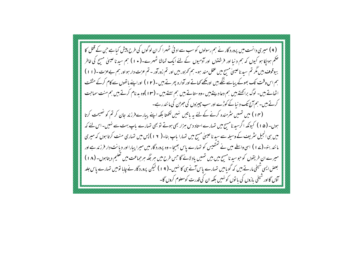( ۹ ) میری دانست میں پرورد گار نے ہم رسولوں کو سب سے اد ٹی ٹھہرا کران لوگوں کی طرح پیش کیاہے جن کے قتل کا صحم ہوجکا ہو کیوں کہ ہم دنیا اور فرشتوں اور آدمیوں کے لئے ایک تماشا ٹھہرے۔( • ۱ ) ہم سیدنا عیسیٰ مسح کی خاطر بیوقوف بیں مگر تم سید ناعیسیٰ مسح میں عقل مند ہو۔ ہم کمرور بیں اور تم زورآور - تم عزت دار ہو اور ہم بےعزت -(١١) ہم اس وقت تک بھوکے پباسے ننگے بیں اور پھے تھاتے اور آوارہ پھر تے ہیں ۔( ۲ ) اوراپنے باتھوں سے کام کرکے مثقت اٹھاتے ہیں۔ لوگ براکھتے ہیں ہم دعا دیتے ہیں -وہ ستاتے ہیں ہم سےتے ہیں ۔ (۱۳)وہ بد نام کرتے ہیں ہم منت سماجت کرتے ہیں۔ ہم آج تک د نیا کے کوڑے اور سب چیزوں کی جھڑن کی مانند رہے۔ (۱۴) میں تہیں سٹرمندہ کرنے کے لئے یہ پاتیں نہیں لکھتا بلکہ اپنے پیارے فرزند جان کرتم کو نصیحت کرتا ہوں۔ ( ۵ ا ) کیونکہ اگرسید نامسح میں تہارے استاد دس ہزار بھی ہوتے تو بھی تہارے پاپ بہت سے نہیں۔اس لئے کہ میں ہی انجیل سٹریف کے وسیلہ سے سید ناعیسیٰ مسح میں تہارا پاپ بنا۔( ۱۶ ) پس میں تہاری منت کرتا ہوں کہ میری ما نند بنو۔(ے ۱ ) اسی واسطے میں نے تمتعیس کو تہارے پاس بھیجا - وہ پرورد گار میں میرا پیارا اور دیانت دار فرزند ہے اور میرے ان طریقوں کو حبو سید نامسح میں بیں تہیں یادلائے گا جس طرح میں ہر جگہ ہر حماعت میں تعلیم دیتاہوں۔ ( ۱۸ ) بعض ایسی شیخی مارتے ہیں کہ گویامیں تہارے پاس آنے ہی کا نہیں۔( ۹ ا ) لیکن پرورد گار نے چاہا نومیں تہارے پاس جلد آؤں گااور شیخی یازوں کی یا نوں کو نہیں بلکہ ان کی قدرت کومعلوم کروں گا۔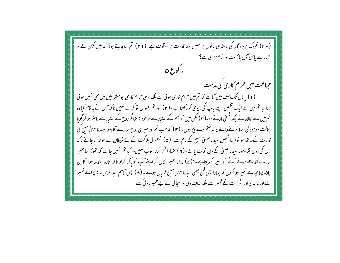(۲۰) کیونکہ پرورد گار کی بادشاہی با توں پر نہیں بلکہ قدرت پر موقوف ہے۔(۲۱) تم کیا چاہتے ہو؟ کہ میں لکڑی لے کر تہارے پاس آؤں پامحبت اور نرم مزاجی سے؟ ر کورع ۵ حماعت میں حرام کاری کی مذمت (۱) یہاں تک سننے میں آیاہے کہ تم میں حرام کاری ہوتی ہے بلکہ ایسی حرام کاری حومشر کین میں بھی نہیں ہوتی چنانچہ تم میں سے ایک شخص اپنے پاپ کی بیوی کورکھتا ہے ۔( ۲ ) اور تم افسوس نو کرتے نہیں تاکہ جس نے یہ کام کیاوہ تم میں سے لکالاجائے بلکہ شیخی مارتے ہو۔(۳)لیکن میں گوجسم کے اعتیار سے موحود نہ تھامگرروح کے اعتیار سےحاصر ہو کر گو ما بحالت موحبود کی ایسا کرنے والے پر بیہ صحم دے جکا ہوں۔ (۴) کہ جب تم اور میر ی روح ہمارے آقا ومولاسید ناعیسیٰ مسح کی قدرت کےساتھ ہو تواپسا شخص سید ناعیسیٰ مسح کے نام سے ۔(۵) حبہم کی بلاکت کےلئے شیطان کے حوالہ کیاجائے تاکہ اس کی روح آقا ومولا سید ناعیسیٰ کے دن نجات پائے۔(۲) تہارا فخر کرنا خوب نہیں۔ کیا تم نہیں جانتے کہ تھوڑا ساخمیر سارے گندھے ہوئے آٹے کو خمیر کردیتاہے۔؟(ے) پرانا خمیر ِ کال کر اپنے آپ کو پاک کرلو تاکہ ِ تازہ گندھا ہوا آگا بن جاؤ-چنانچہ بے خمیر ہو کیوں کہ ہمارا بھی فسح یعنی سید ناعیسیٰ مسح قربان ہوئے۔(۸) پس آؤہم عید کریں۔ نہ پرانےخمیر سے اور نہ یدی اور سٹر ارت کے خمیر سے بلکہ صاف دلی اور سچائی کے بے خمیر رو ٹی سے۔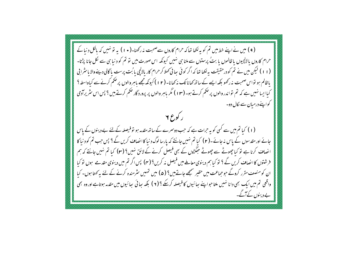( ۹ ) میں نے اپنے خط میں تم کو یہ لکھا تعاکہ حرام کاروں سےصحبت نہ رکھنا۔( • ۱ ) یہ تو نہیں کہ بالکل د نبا کے حرام کاروں بالالچیوں با ظالموں یا بتُ پرستوں سے ملنا ہی نہیں کیونکہ اس صورت میں تو تم کو د نیا ہی سے لکل جانا پڑتا۔ (۱۱) لیکن میں نے تم کو درحقیقت یہ لکھا تھا کہ اگر کوئی سائی کھلا کر حرام کار بالالجی با بُت پرست پا گالی دینے والا باسٹرا بی باظالم ہو تواس صحبت نہ رکھو بلکہ ایسے کے ساتھ کھانا تک نہ کھانا- ( ۲ ا ) کیونکہ مجھے پاسر والوں پر حکم کرنے سے کیاواسطہ ؟ کیا ایسا نہیں ہے کہ تم تواندر والوں پر صحم کرتے ہو۔ (۱۳) مگر پاہر والوں پر پرورد گار صحم کرتے بیں ؟ پس اس سثر پرآدمي کواپنے درمیان سے لکال دو۔ ر کورع ۲ (۱) کیا تم میں سے کسی کو یہ حرات ہے کہ جب دوسرے کے ساتھ مقدمہ ہو تو فیصلہ کےلئے بے دینوں کے پاس جائے اور مقدسوں کے پاس نہ جائے۔( ۲ ) کیا تم نہیں جانتے کہ پارسا لوگ د نیا کا انصاف کریں گے ؟ پس جب تم کو د نیا کا انصاف کرنا ہے تو کیا چھوٹے سے چھوٹے حجگڑوں کے بھی فیصل کرنے کے لائق نہیں؟ (۳) کیا تم نہیں جانتے کہ ہم فرشتوں کا انصاف کریں گے ؟ نو کیا ہم دینوی معاملے میں فیصل نہ کریں؟ (مہ) پس اگر تم میں دینوی مقدمے ہوں نو کیا ان کو منصف مقرر کروگے جو حماعت میں حقیر سمجھے جاتے ہیں؟ ( ۵ ) میں تہیں سٹرمندہ کرنے کے لئے یہ کھتا ہوں۔ کیا واقعی تم میں ایک بھی دانا نہیں ملتا حواینے سائیوں کا فیصلہ کرسکے ؟ ( ۲ ) بلکہ سائی سائیوں میں مقدمہ ہوتاہے اور وہ بھی بے دینوں کے آگے۔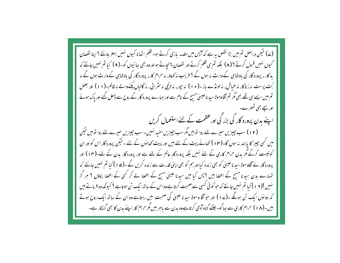(ے) لیکن دراصل تم میں بڑا نقص یہ ہے کہ آپس میں مقدمہ بازی کرتے ہو۔ظلم اٹھانا کیوں نہیں بہتر جانتے ؟ اپنا نقصان کیوں نہیں قبول کرتے ؟ ( ۸ ) بلکہ تم ہی ظلم کرتے اور نقصان پہنچاتے ہواور وہ بھی ہیائیوں کو۔( ۹ ) کیا تم نہیں جانتے کہ ید کار ، پرورد گار کی یادشاہی کے وارث نہ ہوں گے ؟ فریب نہ کھاؤ، نہ حرام کار، پرورد گار کی یادشاہی کے وارث ہوں گے نہ <sup>م</sup>ُت پرست نہ زناکار نہ عماش، نہ لونڈے باز -( • ۱ ) نہ حیور، نہ لالچی نہ سٹرا پی، نہ گالیاں بکنےوالے نہ ظالم-( ۱ ۱ ) اور بعض تم میں ایسے ہی تھے بھی مگر تم آقا ومولا سید ناعیسیٰ مسح کے نام سے اور ہمارے پرورد گار کے روح سے ڈھل گئے اور پاک ہوئے اور سیچے بھی ٹھہر ہے۔ اپنے بدن پرورد گار کی بزر گی اور عظمت کے لئے استعمال کریں (۱۲) سب چیزیں میرے لئے روا توہیں مگرسب چیزیں مفید نہیں۔سب چیزیں میرے لئے روا توہیں لیکن میں کسی چیز کا بابند نہ ہوں گا-(۱۳) کھانے پیٹ کے لئے بیں اور پیٹ کھانوں کے لئے - لیکن پرورد گار اس کو اور ان کونیست کرگے مگر بدن حرام کاری کے لئے نہیں بلکہ پرورد گار عالم کے لئے ہے اور پرورد گار بدن کے لئے۔(۱۴) اور پرورد گار نے آقاو مولا سید ناعیسیٰ کو بھی زندہ کیا اور ہم کو بھی اپنی قدرت سے زندہ کریں گے ۔( ۵ ا ) کیا تم نہیں جانتے کہ تہارے بدن سیدنا مسح کے اعصا بیں ؟پس کیا میں سیدنا عیبیٰ مسح کے اعصا لے کر کسی کے اعصا بناؤں ؟ ہر گز نہیں !( ۱ ۱ ) کیا تم نہیں جانتے کہ حو کوئی کسی سے صحبت کرتاہےوہ اس کے ساتھ ایک تن ہوتاہے ؟ کیونکہ وہ فرماتے ہیں کہ دونوں ایک تن ہوئگے ۔(ے ا ) اور حوآقا و مولا سید نا عیسیٰ کی صحبت میں رہتاہے وہ ان کے ساتھ ایک روح ہوتے بیں۔( ۱۸ ) حرام کاری سے ہیا گو۔ جینئے گناہ آدمی کرتاہےوہ بدن سے باہر بیں مگر حرام کار اپنے بدن کا بھی گنہگار ہے۔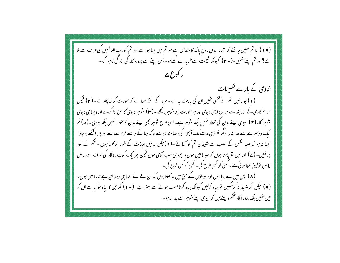( 9 ) ) کیا تم نہیں جانتے کہ تہارا بدن روح پاک کامقدس ہے حو تم میں بسا ہوا ہے اور تم کو رب العالمین کی طرف سے ملا ہے؟اور تم اپنے نہیں۔( • ۲ ) کیونکہ قیمت سے خریدے گئے ہو۔ پس اپنے سے پرورد گار کی بزر گی ظاہر کرو۔ ر کورع پے شادی کے بارے تعلیمات (۱)جو پاتیں تم نے کٹھی تھیں ان کی بابت یہ ہے۔مرد کے لئے احیا ہے کہ عورت کو نہ چھوٹے۔(۲) لیکن حرام کاری کے اندیشہ سے ہر مر داپنی بیوی اور ہر عورت اپنا شوہر رکھے - (۲۲) شوہر بیوی کاحن ادا کرے اور ویسا ہی بیوی شوہر کا-(۴) بیوی اپنے بدن کی مختار نہیں بلکہ شوہر ہے- اسی طرح شوہر بھی اپنے بدن کا مختار نہیں بلکہ بیوی -(۵) تم ا یک دوسمرے سے جدا نہ رہومگر تھوڑی مدت تک آبیس کی رضا مندی سے تا کہ دعا کے واسطے فرصت ملے اور پھر اکٹھے ہوجاؤ۔ ایسا نہ ہو کہ علیہ گفس کے سبب سے شیطان تم کو آزمائے ۔(۲)لیکن یہ میں اجازت کے طور پر کھتا ہوں ۔حکم کے طور پر نہیں۔ (ے) اور میں تو چاہتا ہوں کہ جیسا میں ہوں ویسے ہی سب آدمی ہوں لیکن ہرایک کو پرورد گار کی طرف سے غاص خاص نۆفىيى عطاموئى ہے۔ كسى كو كسى طرح كى۔ كسى كو كسى طرح كى ۔ (۸) پس میں بے بیا ہوں او ربیواؤں کے حق میں یہ کھتا ہوں کہ ان کے لئے ایسا ہی رہنا احیاہے جیسامیں ہوں۔ ( ۹ ) لیکن اگر ضبط نہ کرسکیں تو بیاہ کرلیں کیونکہ بیاہ کرنامست ہونے سے بہتر ہے۔( • ۱ ) مگر حن کا بیاہ ہوگیا ہےان کو میں نہیں بلکہ پرورد گار <sup>حک</sup>م دیتے ہیں کہ بیوی اپنے شوہر سے جدا نہ ہو۔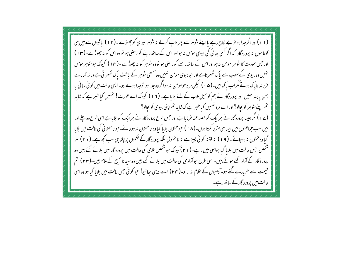(۱۱)اور اگر جدا ہو نو بے لکاح رہے یا اپنے شوہر سے پھر ملاپ کرلے نہ شوہر بیوی کو چھوڑے۔(۱۲) یاقیوں سے میں ہی کھتا ہوں نہ پرورد گار کہ اگر کسی سائی کی بیوی مومن نہ ہو اور اس کے ساتھ رہنے کو راضی ہو تووہ اس کو نہ چھوڑے۔(۱۳) اور حس عورت کا شوہر مومن نہ ہو اور اس کے ساتھ رہنے کو راضی ہو تو وہ شوہر کو نہ چھوڑے ۔(۱۴) کیونکہ حو شوہر مومن نہیں وہ بیوی کے سبب سے پاک ٹھہر تاہے اور حو بیوی مومن نہیں وہ مسیحی شوہر کے باعث پاک ٹھہر تی ہے ور نہ تمارے فرزند ناپاک ہوتے مگر اب پاک ہیں۔( ۵ ۱ ) لیکن مرد حبومومن پنہ ہوا گروہ جدا ہو توجدا ہونے دو۔ایسی حالت میں کوئی بھائی پا بہن یا بند نہیں اور پرورد گار نے ہم کومیل ملاپ کے لئے بلایا ہے۔ (۱۲) کیونکہ اے عورت! تہیں کیاخبر ہے کہ شاید تم اپنے شوہر کو بچالو؟ اور اے مر د تہیں کیا خبر ہے کہ شاید تم اپنی بیوی کو بچالو؟ (ے ۱ ) مگر جیسا پرورد گار نے ہرایک کو حصہ عطا فرما یا ہے اور حس طرح پرورد گار نے ہرایک کو بلایا ہے اسی طرح وہ چلے اور میں سب حماعتوں میں ایسا ہی مقرر کرتا ہوں۔( ۸ ا ) حو مختون بلایا گیاوہ نامختون نہ ہوجائے۔حو نامختو فی کی حالت میں بلایا گیاوہ مختون نہ ہوجائے ۔ ( ۹ ا ) نہ ختنہ کوئی چیز ہے نہ نامختونی بلکہ پرورد گار کے حکموں پر چلناسی سب کحچھ ہے۔ ( • ۲ ) ہر شخص حس حالت میں بلایا گیا ہواسی میں رہے۔( ۲۱) کیونکہ حو شخص علامی کی حالت میں پرورد گار میں بلائے گئے بیں وہ پرورد گار کے آزاد کئے ہوئے بیں۔ اسی طرح حبوآزادی کی حالت میں بلائے گئے بیں وہ سید نا مسح کےغلام بیں۔(۲۳ ) تم قیمت سے خریدے گئے ہو۔آدمیوں کے علام نہ بنو۔(۲۴ ) اے دینی ہعائیو! حبو کوئی جس حالت میں بلایا گیا ہووہ اسی حالت میں پرورد گار کے ساتھ رہے۔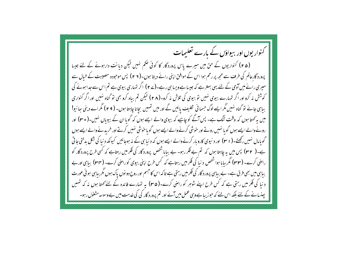کنوار یوں اور بیواؤں کے بارے تعلیمات (۲۵) کنواریوں کے حن میں میرے پاس پرورد گار کا کوئی حکم نہیں لیکن دبانت دارہونے کے لئے جیسا پرورد گارعالم کی طرف سے مجھ پر رحم ہوا اس کے موافق اپنی رائے دیتا ہوں۔(۲ ۲ ) پس موحودہ مصیبت کے خیال سے میری رائے میں آدمی کے لئے یہی بہترہے کہ جیسا ہے ویساسی رہے۔(۲۷) اگر نتہاری بیوی ہے تم اس سے عدا ہونے کی کوشش نہ کرو اور اگر تہارے بیوی نہیں تو بیوی کی تلاش نہ کرو۔(۲۸) لیکن تم بیاہ کرو بھی تو گناہ نہیں اور اگر کنواری بیاہی جائے تو گناہ نہیں مگر ایسے لوگ حسمانی ٹکلیف پائیں گے اور میں تہیں بچانا چاہتا ہوں۔ ( ۲۹) مگر اے دینی سائیو! میں یہ کھتا ہوں کہ وقت تنگ ہے۔ پس آگے کو چاہیے کہ بیوی والے ایسے ہوں کہ گویا ان کے بیوباں نہیں۔( ۳۰) اور رونے والے ایسے ہوں گو یا نہیں روتے اور خوشی کرنے والے ایسے ہوں گو یا خوشی نہیں کرتے اور خرید نے والے ایسے ہوں گویامال نہیں رکھتے۔( r ۱) اور د نیوی کاروبار کرنےوالے ایسے ہوں کہ د نیا ہی کے نہ ہوجائیں کیونکہ دنیا کی شکل بدلتی جا تی ہے۔( r ـr ) پس میں ہہ چاہتا ہوں کہ تم بے فکر رہو۔ بے بیابا شخص پرورد گار کی فکر میں رہتاہے کہ کسی طرح پرورد گار کو راحنی کرے۔ (۳۳) مگر بیایا ہواشخص د نیا کی فکر میں رہتاہے کہ کس طرح اپنی بیوی کوراحنی کرے۔ (۳۴) بیابی اوربے بیاہی میں بھی فرق ہے۔ بے بیاہی پرورد گار کی فکر میں رہتی ہے تاکہ اس کا جسم اور روح دو نوں پاک ہوں مگر بیاہی ہوئي عورت د نیا کی فکر میں رہتی ہے کہ کس طرح اپنے شوہر کو راضی کرے۔( ۳۵) یہ تہارے فائدہ کے لئے کھتا ہوں نہ کہ تہییں پینسانے کے لئے بلکہ اس لئے کہ حوز بیاہے وہی عمل میں آئے اور تم پرورد گار کی کی خدمت میں بے وسوسہ مشغول رہو۔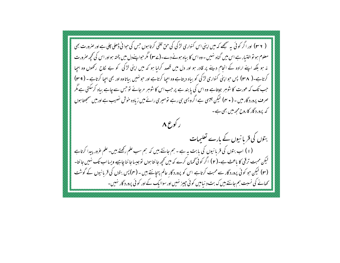( ۳۶) اور اگر کوئی یہ سمجھے کہ میں اپنی اس کنواری لڑکی کی حق تلفی کرتا ہوں جس کی حوانی ڈھلی چلی ہے اور صرورت بھی معلوم ہو نواختیار ہے اس میں گناہ نہیں ۔ وہ اس کا بیاہ ہونے دے۔(ے۳ ) مگر حوایینےدل میں پختہ ہواور اس کی کجھ صرورت نہ ہو بلکہ اپنے ارادہ کے انحام دینے پر قادر ہو اور دل میں قصد کرلیا ہو کہ میں اپنی لڑکی کو بے کاح ِ رکھوں وہ اجپا کرتاہے۔( ۳۸) پس حو اپنی کنواری لڑکی کو بیاہ دیتاہے وہ احیا کرتاہے اور حونہیں بیاتا وہ اور بھی احیا کرتاہے۔( ۳۹) جب تک کہ عورت کا شوہر جیتاہے وہ اس کی پابند ہے پر جب اس کا شوہر مرجائے تو جس سے چاہے بیاہ کرسکتی ہے مگر صرف پرورد گار میں ۔ ( م مہ) لیکن جیسی ہے اگرویسی ہی رہے تومیری رائے میں زیادہ خوش نصیب ہے اور میں سمجھتا ہوں کہ پرورد گار کاروح مجھ میں بھی ہے۔ ر کورع ۸ بتوں کی قربا نیوں کے بارے تعلیمات (۱) اب بتوں کی قربانیوں کی بابت یہ ہے - ہم جانتے ہیں کہ ہم سب علم رکھتے ہیں۔ علم عرور پیدا کرتاہے لیکن محبت ترقی کا باعث ہے۔( ۲ ) اگر کوئی گھان کرے کہ میں کجھ جا نتا ہوں توجیسا جا ننا چاہیے ویسا اب تک نہیں جا نتا-(۳) لیکن حو کوئی پرورد گار سے محبت کرتاہے اس کو پرورد گار عالم پہچانتے ہیں ۔ (۴) پس بتوں کی قربانیوں کے گوشت کھانے کی نسبت ہم جانتے ہیں ک بت د نیامیں کوئی چیز نہیں اور سواایک کے اور کوئی پرورد گار نہیں۔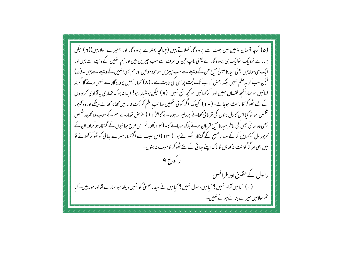(۵)اگرچہ آسمان وزمین میں بہت سے پرورد گار تھلاتے ہیں (چنانچہ بہترے پرورد گار اور بہتیرے مولا بیں)(۲) لیکن ہمارے نزدیک توایک ہی پرورد گار ہے یعنی باپ حن کی طرف سے سب چیزیں ہیں اور ہم انہیں کے وسیلے سے ہیں اور ایک ہی مولا بیں یعنی سید ناعیسیٰ مسح حن کےوسیلے سے سب چیپزیں موحود ہو ئیں اور ہم بھی انہیں کےوسیلے سے بیں ۔ (ے) کیکن سب کو یہ علم نہیں بلکہ بعض کواب تک بُت پرستی کی عادت ہے۔ (۸) کھانا ہمیں پرورد گار سے نہیں ملائے گاا گر نہ نحھائیں توسمارانحچھ نقصان نہیں اور اگر <sub>تھ</sub>ائیں تونحچھ نفع نہیں۔( ۹ ) لیکن ہوشیار رہو! ایسا نہ ہو کہ تہاری یہ آزادی کمزوروں کے لئے ٹھوکر کا باعث ہوجائے۔ ( • ۱ ) کیونکہ اگر کوئی تہیں صاحب علم کو بُت خانہ میں کھانا کھاتے دیکھے اور وہ کمزور شخص ہو تو کیا اس کا دل بتوں کی قریا ٹی تھانے پر دلپر یہ ہوجائے گا؟(١١) عرض تہارے علم کے سبب وہ تمزور شخص یعنی وہ سائی جس کی خاطر سید نامسح قریان ہوئے ہلاک ہوجائے گا۔ (۲ ا )اور تم اس طرح ہیا ئیوں کے گنہگار ہو کر اور ان کے تحمزور دل کو گھایل کرکے سید نامسح کے گنہگار ٹھہرتے ہو۔( ۱۳ ) اس سبب سے اگر محانامیرے بھائی کو ٹھوکر کھلائے نو میں بھی ہر گز گوشت نہ کھاؤں گا تا کہ اپنے بھائی کے لئے ٹھو کر کاسبب نہ بنوں۔ ر کو ع رسول کے حقوق اور فرائض (۱) کیامیں آزاد نہیں ؟ کیامیں رسول نہیں ؟ کیامیں نے سید ناعیسیٰ کو نہیں دیکھاجو ہمارے آقا اور مولابیں۔ کیا تم مولامیں مبرے بنائے ہوئے نہیں۔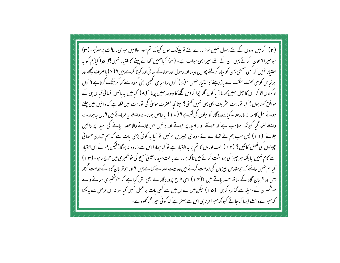(۲) اگر میں اوروں کے لئے رسول نہیں تو تہارے لئے تو بیٹنک ہوں کیونکہ تم خود مولامیں میری رسالت پر مہرُہو۔(۳) حومبیرا امتحان کرتے بیں ان کے لئے میرا یہی حواب ہے۔ (۴) کیاہمیں کھانے پینے کااختیار نہیں؟( ۵) کیاہم کو یہ اختیار نہیں کہ کسی مسیحی بہن کو بیاہ کرلئے پھریں جیسا اور رسول اور مولاکے سائی اور کیفا کرتے ہیں ؟ ( ۲ ) باصرف مجھے اور بر نیاس کو سی محنت مشقت سے باز رہنے کا اختیار نہیں ؟ ( بے ) کون سا سباہی گہجی اپنی گروہ سے کھا کر جنگ کرتا ہے ؟ کون تاکستان لگا کر اس کا پجل نہیں کھاتا ؟ یا کون گلہ جرا کراس گلے کا دودھ نہیں پیتا ؟ (۸) کیامیں بہ باتیں انسانی قباس ہی کے موافق <sub>ک</sub>متاہوں؟ کیا توریت سٹریف بھی یہی نہیں کھتی؟ چنانچہ حصرت موسیٰ کی توریت میں لکھاہے کہ دائیں میں چلتے ہوئے بیل کامنہ نہ باندھنا۔ کیا پرورد گار کو بیلوں کی فکرہے؟ ( • ۱ ) یاخاص ہمارے واسطے بہ فرماتے ہیں ؟ پاں ہہ ہمارے واسطے لکھا گیا کیونکہ مناسب ہے کہ حویتنے والا امید پر حوتے اور دائیں میں چلانے والا حصہ پانے کی امید پر دائیں چلائے۔(۱۱) پس جب ہم نے نہارے لئے روحانی چیزیں بوئیں تو کیا یہ کوئی بڑی بات ہے کہ ہم تہاری جسمانی چیزوں کی فصل کا<sup>ط</sup>یں ؟ ( ۲ ا ) حب اوروں کا تم پر یہ اختیار ہے تو کیا ہمارا اس سے زیادہ نہ ہوگا؟ لیکن ہم نے اس اختیار سے کام نہیں لیا بلکہ ہر چیز کی برداشت کرتے ہیں تاکہ ہمارے باعث سید ناعیسیٰ مسح کی خوشخبری میں حرج نہ ہو۔ (۱۳) کیا تم نہیں جانتے کہ حومقدس چیزوں کی خدمت کرتے ہیں وہ بیت اللہ سے کھاتے ہیں ؟ اور حوفر بان گاہ کے خدمت گزار بیں وہ قربان گاہ کے ساتھ حصہ پاتے ہیں ؟(١٣) اسی طرح پرورد گار نے بھی مقرر کیا ہے کہ خوشخبری سنانے والے خوشخبری کےوسیلہ سے گذارہ کریں۔ (۱۵) لیکن میں نےان میں سے کسی بات پر عمل نہیں کیا اور نہ اس غرض سے ہہ لکھا کہ میرے واسطے ایسا کیاجائے کیونکہ میرامرناہی اس سے بہتر ہے کہ کوئی میرافخر کھودے۔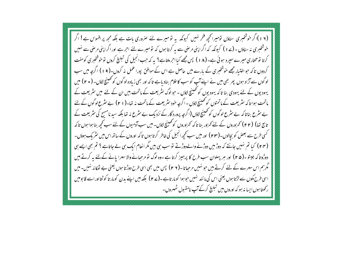(۱۶)اگر خوشخبری سناؤں تومیرانحچھ فخر نہیں کیونکہ یہ تومیرے لئے صروری بات ہے بلکہ مجھ پر افسوس ہے! اگر خوشخبری نہ سناؤں ۔ (۲۱ ) کیونکہ کہ اگراپنی مرصٰی سے بہ کرتا ہوں کہ تومیرے لئے اجر ہے اور اگراپنی مرصٰی سے نہیں کرتا تومختاری میرے سیر دیہوئی ہے۔ (۱۸) پس مجھے کیا احرملتاہے؟ یہ کہ جب انجیل کی تبلیخ کروں توحوشخبری کومفت کردوں تا کہ حو اختیار مجھے خوشخبری کے بارے میں حاصل ہے اس کے موافق پورا عمل نہ کروں۔( ۱۹) اگرچہ میں سب لوگوں سے آزاد ہوں پھر بھی میں نے اپنےآپ کو سب کا غلام بنادیاہے تاکہ اور بھی زیادہ لوگوں کو تھینچ لاؤں۔ ( • ۲ ) میں یہودیوں کے لئے یہودی بنا تاکہ یہودیوں کو تھینچ لاؤں ۔ حو لوگ سٹریعت کے ماتحت بیں ان کے لئے میں سٹریعت کے ماتحت ہوا تاکہ سٹریعت کے ماتحتوں کوتھینیج لاؤں - اگرجہ خود سٹریعت کے ماتحت نہ تھا-( ۲۱) بے سٹرع لوگوں کے لئے بے سٹرع بناتا کہ بے سٹرع لوگوں کوتھینیچ لاؤں (اگرچہ پرورد گار کے نزدیک بے سٹرع نہ تنا بلکہ سید نامسح کی سٹریعت کے تابع تھا) (۲۲) کمزوروں کے لئے کمزور بنا تاکہ کمزوروں کو تھینیج لاؤں۔میں سب آدمیوں کے لئے سب تحجیہ بنا ہوا ہوں تاکہ کسی طرح سے بعض کو بچالوں۔(۲۳) اور میں سب تحچھ انجیل کی خاطر کرتا ہوں تاکہ اوروں کے ساتھ اس میں سٹریک ہوؤں۔ (۲۴) کیا تم نہیں جانتے کہ دوڑ میں دوڑنے والےدوڑتے تو سب ہی بیں مگر انعام ایک ہی لے جاتاہے ؟ تم بھی ایسے ہی دوڑوتا کہ جیتو۔( ۲۵ ) اور میر پہلوان سب طرح کا پرہیز کرتا ہے ۔وہ لوگ نو مرحیانے والا سہرا پانے کےلئے یہ کرتے بیں مگرہم اس سہرے کے لئے کرتے ہیں حبو نہیں مرحصاتا ۔( ۲ ۲ ) پس میں بھی اسی طرح دوڑتا ہوں یعنی بے ٹھکانہ نہیں۔میں اسی طرح مکوں سے لڑتا ہوں یعنی اس کی ما نند نہیں حوہوا کو مار تاہے۔(ے ۲ ) بلکہ میں اپنے بدن کو مار تا کو ٹتا اور اسے قابومیں رکھتاہوں ایسا نہ ہو کہ اوروں میں تبلیغ کرکے آپ نامقبول ٹھہروں۔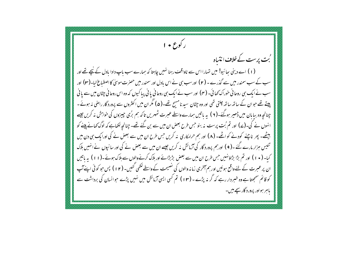ر کورع • ۱ <sup>ف</sup>یت پرست کے خلا**ف انتیاہ** (۱) اے دینی سِائیو! میں تہارااس سے ناواقف رہنا نہیں چاہتا کہ ہمارے سب باپ دادا بادل کے نیچے تھے اور سب کے سب سمندر میں سے گذرے۔ ( ۲ ) اورسب سی نے اس بادل اور سمندر میں حصرت موسیٰ کا اصطباع لیا۔( ۳) اور سب نے ایک ہی روحا فی خوراک کھا ئی۔ ( مہ) اور سب نے ایک ہی روحا فی یا فی یبا کیوں کہ وہ اس روحا فی چٹان میں سے یا فی پیتے تھے حبوان کے ساتھ ساتھ چلتی تھی اور وہ جٹان سید نامسح تھے۔( ۵) مگر ان میں اکثروں سے پرورد گار راعنی نہ ہوئے۔ چنانچہ وہ بیابان میں ڈھیر ہوگئے۔( ۲ ) یہ پاتیں ہمارے واسطے عبرت ٹھہریں تاکہ ہم بڑی چیزوں کی خواہش نہ کریں جیسے انہوں نے کی۔(ے) اور تم بُت پرست نہ بنو حس طرح بعض ان میں سے بن گئے تھے۔ چنانچہ لکھاہے کہ لوگ کھانے پینے کو بیٹھے۔ پھر ناچنے کودنے کو اٹھے۔ (۸) اور ہم حرامکاری نہ کریں جس طرح ان میں سے بعض نے کی اورایک سی دن میں تئیس ہزار مارے گئے ۔( ۹ ) اور ہم پرورد گار کی آزمائش نہ کریں جیسے ان میں سے بعض نے کی اور سا نیوں نے انہیں ہلاک کیا۔ ( • ۱ ) اور تم بڑا بڑاؤنہیں جس طرح ان میں سے بعض بڑبڑائے اور ہلاک کرنے والوں سے ہلاک ہوئے۔( ۱ ۱ ) یہ پاتیں ان پر عبرت کے لئے واقع ہوئیں اور ہم آخری زمانہ والوں کی نصیحت کے واسطے کھی گئیں۔ ( ۱۲ ) پس حو کوئی اپنےآپ کو قائم سمجھتاہے وہ خببر دار رہے کہ گرینہ پڑے ۔ (۱۳) تم کسی ایسی آزمائش میں نہیں پڑے حوالیان کی برداشت سے پاسر ہواور پرورد گار سیے ہیں۔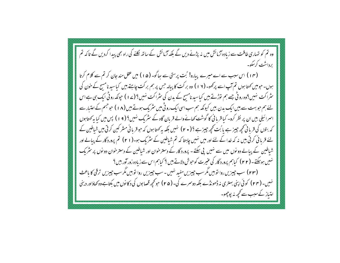وہ تم کو تہاری طاقت سے زیادہ آزمائش میں نہ پڑنے دیں گے بلکہ آزمائش کے ساتھ یکلنے کی راہ بھی پیدا کردیں گے تاکہ تم برداشت کرسکو۔ (۱۴) اس سبب سے اے میرے پیارو! 'بت پرستی سے رہا گو۔ (۵۱) میں عقل مند حان کر تم سے کلام کرتا ہوں۔ حبومیں کھتا ہوں تم آپ اسے پرکھو۔ (۱۲) وہ بر کت کا پیالہ حس پر ہم بر کت چاہتے ہیں کیاسید نامسح کے خون کی سٹراکت نہیں؟وہ رو ٹی جسے ہم توڑتے ہیں کیاسید نامسح کے بدن کی سٹراکت نہیں؟ (ے ۱ ) حپونکہ رو ٹی ایک ہی ہے اس لئے ہم حو بہت سے بیں ایک بدن بیں کیونکہ ہم سب اسی ایک رو ٹی میں سٹریک ہوتے بیں (۱۸) حو جسم کے اعتبار سے اسمرائیلی بیں ان پر نظر کرو۔ کیا قریا ٹی کا گوشت کھانے والے قربان گاہ کے سٹریک نہیں؟ ( 9 ۱ ) پس میں کیا یہ کھتاہوں کہ بتوں کی قربانی تحمیر چیز ہے یا بُت تحمیر چیز ہے ؟ ( + ٢) نہیں بلکہ یہ بحتا ہوں کہ حوقر یا نی مشر کین کرتی ہیں شباطین کے لئے قربا ٹی کرتی بیں نہ کہ خدا کے لئے اور میں نہیں چاہتا کہ تم شیاطین کے سٹر یک ہو۔( ۲۱) تم پرورد گار کے پیالے اور شیاطین کے پہالے دو نوں میں سے نہیں پی سکتے ۔ پرورد گار کے دستر خوان اور شیاطین کے دستر خوان دو نوں پر سٹر پک نہیں ہوسکتے۔(۲۲) کیاہم پرورد گار کی عنیرت کوحوش دلاتے ہیں ؟ کیاہم اس سے زیادہ زور آور ہیں ؟ (۲۳) سب چیزیں روا توبیں مگرسب چیزیں مفید نہیں ۔سب چیزیں روا توبیں مگرسب چیزیں ترقی کا باعث نہیں۔ (۲۴) کوئی اپنی بہتری نہ ڈھونڈے بلکہ دوسرے کی۔ (۲۵) حوکچھ قصابوں کی د کا نوں میں بکتاہے وہ کھاؤاور دینی امتیاز کے سبب سے کحچھ نہ پوچھو۔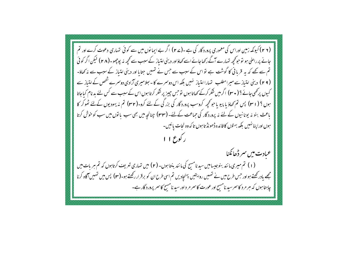(۲ ۲) کیونکہ زمین اوراس کی معموری پرورد گار کی ہے ۔(۲ ۷ ) اگر بے ایمانوں میں سے کوئی تہاری دعوت کرے اور تم جانے پر راصی ہو تو حوکچھ تہارے آگے رکھاجائے اسے کھاؤ اور دینی امتیاز کے سبب سے کجھ نہ پوچھو۔(۲۸) لیکن اگر کوئی تم سے تھے کہ یہ قریانی کا گوشت ہے تو اس کے سبب سے جس نے تہیں جتایا اور دینی امتیاز کے سبب سے نہ کھاؤ۔ ( ۲۹ ) دینی امتیاز سے میرامطلب تہارا امتیاز نہیں بلکہ اس دوسرے کا - بھلامیری آزادی دوسرے شخص کے امتیاز سے کیوں پرکھی جائے ؟ ( ۳۰) اگر میں شکر کرکے تھاتا ہوں تو جس چییز پر شکر کرتا ہوں اس کے سبب سے کس لئے بد نام کیاجاتا ہوں ؟ ( r ۱ ) پس تم کھاؤ یا پیو یا حوکحچھ کروسپ پرورد گار کی بزرگی کے لئے کرو۔( r ۲) تم نہ یہودیوں کےلئے ٹھوکر کا باعث بنو نہ یونانیوں کے لئے نہ پرورد گار کی حماعت کےلئے۔ (۳۳) چنانچہ میں بھی سب یا توں میں سب کو خوش کرتا ہوں اوراپنا نہیں بلکہ بہتوں کافا ئدہ ڈھونڈ تا ہوں تا کہ وہ نجات پائیں۔ ر کورع ۱۱ عبادت میں سمر ڈھانگنا (۱) تم میری مانند بنوجیسامیں سید نامسح کی مانند بنتا ہوں۔(۲) میں تہاری تعریف کرتاہوں کہ تم ہر بات میں مجھے بادر کھتے ہواور جس طرح میں نے نتہیں روایتیں پہنچادیں تم اسی طرح ان کو برقرار رکھتے ہو۔(۳) پس میں نتہیں آگاہ کرنا چاہتا ہوں کہ ہر مرد کا سمرسید نامسح اور عورت کا سمر مر د اور سید نامسح کا سمر پرورد گار ہے۔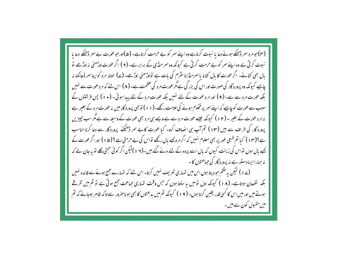(۴)جو مر د سمر ڈھنکے ہوئے دعا یا نبوت کرتاہے وہ اپنے سمر کو بے حرمت کرتاہے۔ (۵)اورجو عورت بے سمر ڈھنکے دعا یا نبوت کر ٹی ہے وہ اپنے سمر کو بے حرمت کرتی ہے کیونکہ وہ سمر منڈی کے برابر ہے۔ ( ۲ ) اگر عورت اوڑھنی یہ اوڑھے تو بال بھی کٹائے۔ اگر عورت کا بال کٹانا یا سرمنڈانا سٹرم کی بات ہے تواوڑھنی اوڑھے۔ (ے) البتہ مرد کواپنا سر ڈھانکنا نہ جاہیے کیونکہ وہ پرورد گار کی صورت اور اس کی بزر گی ہے مگر عورت مر د کی عظمت ہے۔ ( ۸ ) اس لئے کہ مر د عورت سے نہیں بلکہ عورت مرد سے ہے۔ ( ۹ ) اور مر د عورت کے لئے نہیں بلکہ عورت مر د کے لئے پیدا ہوئی ۔ ( ۰ ۱ ) پس فرشتوں کے سبب سے عورت کو چاہیے کہ اپنے سمر پر محکوم ہونے کی علامت رکھے۔(۱۱) تو بھی پرورد گار میں نہ عورت مر د کے بغیر ہے نہ مر د عورت کے بغیر ۔ ( ۱۲ ) کیونکہ جیسے عورت مر د سے ہے ویسے ہی مر د بھی عورت کے وسیلہ سے ہے مگر سب چیزیں پرورد گار کی طر ف سے بیں (۱۳) تم آپ ہی انصاف کرو۔ کیا عورت کابے سمر ڈھنکنے پرورد گار سے دعا کرنا مناسب ہے؟(۱۴) کیا تم طبعی طور پر بھی معلوم نہیں کہ اگر مردلمبے مال رکھے تواس کی بے حرمتی ہے؟(۱۵) اور اگر عورت کے لیبے مال ہوں تواس کی زینت کیوں کہ بال اسے پردہ کے لئے دئے گئے ہیں۔( ۱ ۲ )لیکن اگر کوئی حجتی لکلے تو یہ جان لے کہ نہ ہماراایسا دستور ہے نہ پرورد گار کی حماعتوں کا۔ (ے ۱ ) لیکن یہ حکم حو دیتا ہوں اس میں تہاری تعریف نہیں کرتا۔ اس لئے کہ تہارے جمع ہونے سے فائدہ نہیں بلکہ نقصان ہوتاہے۔ (۱۸) کیونکہ اول تومیں یہ سنتا ہوں کہ جس وقت تہاری جماعت جمع ہوتی ہے تو تم میں تفرقے ہوتے ہیں اور میں اس کا کسی قدر یقین کرتا ہوں۔ ( ۹ ) کیونکہ تم میں بدعتوں کا بھی ہوناصرور ہے تا کہ ظاہر ہوجائے کہ تم میں مقبول کون سے ہیں ۔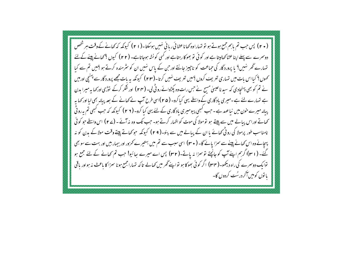( • ۲) پس حب تم باہم جمع ہوتے ہو تو تہاراوہ کھاناعشائی ریانی نہیں ہوسکتا۔( ۲۱) کیونکہ کہ کھانے کےوقت ہر شخص دوسرے سے پہلے اپنا عثا کھالیتا ہے اور کوئی تو بھوکارہتاہے اور کسی کونشہ ہوجاتاہے۔ (۲۲) کیوں ؟کھانے پہنے کے لئے تہارے گھر نہیں؟ یا پرورد گار کی حماعت کو ناچیز جانتے اور حن کے پاس نہیں ان کو سٹرمندہ کرتے ہو ؟میں تم سے کیا <sup>حم</sup>وں <sup>؟</sup> کیا اس بات میں تمہاری تعریف کروں ؟ میں تعریف نہیں کرتا -(۲۳) کیونکہ یہ بات مجھے پرورد گار سے پہنچی اورمیں نے تم کو بھی پہنچادی کہ سید ناعیسیٰ مسح نے جس رات وہ پکڑوائے رو ٹی لی۔ (۲۴) اور شکر کرکے توڑی اور<sub>ک</sub>ھا یہ میرا بدن ہے تہارے لئے ہے۔میری باد گاری کے واسطے یہی کیا کرو- ( ۴ ۵ )اسی طرح آپ نے کھانے کے بعد پیالہ بھی لیا اور کھا یہ پیالہ میرے خون میں نیاعہد ہے۔جب کبھی پیومیری باد گاری کے لئے یہی کیا کرو۔ (۲ ۲ ) کیونکہ کہ جب کبھی تم بہ رو ٹی کھاتے اوراس پہالے میں سے پیتے ہو تومولا کی موت کو اظہار کرتے ہو۔ جب تک وہ نہ آئے ۔ (ے ۲) اس واسطے حو کوئی نامناسب طور پرمولا کی رو ٹی تھانے یا ان کے پیالے میں سے پئو۔( ۲۹) کیونکہ حوکھاتے پیتے وقت مولا کے بدن کو نہ پہجانے وہ اس کھانے پینے سے سمرا پائے گا۔ ( ۳۰) اسی سبب سے تم میں بہتیرے کمرنور اور بیمار بیں اور بہت سے سو بھی گئے۔ ( اسل)اگرہم اپنے آپ کو جانچتے نو سمزا نہ پاتے-( ۳۲) پس اے میرے سائیو! جب تم کھانے کے لئے جمع ہو توا یک دوسمرے کی راہ دیکھو۔( ۳۴) اگر کوئی بھوکا ہو تواپنے ٹھر میں کھالے تاکہ تہارا جمع ہونا سمزا کا باعث نہ ہواور باقی یا نوں کومیں آگر درسُت کردوں گا۔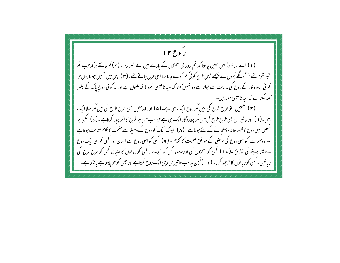ر کوع ۱۲ (۱) اے ہعائیو! میں نہیں چاہتا کہ تم روحانی نعمتوں کے مارے میں بے خبر رہو۔ (۲) تم جانتے ہوکہ جب تم عنیر قوم تھے تو گونگے بُتوں کے پیچھے جس طرح کوئی تم کو لے جاتا تھا اسی طرح جاتے تھے۔(۳) پس میں تہییں جتاتا ہوں جو کوئی پرورد گار کے روح کی بدایت سے بولتا ہے وہ نہیں کہتا کہ سید ناعیسیٰ نعوذ بااللہ ملعون ہے اور نہ کوئی روح پاک کے بغیر کے مکتابے کہ سید ناعیسیٰ مولا ہیں۔ (۴) تعمتیں تو طرح طرح کی بیں مگر روح ایک ہی ہے۔(۵) اور خدمتیں بھی طرح طرح کی بیں مگر مولا ایک بییں۔( ۲ ) اور تاثیر یں بھی طرح طرح کی بیں مگر پرورد گار ایک ہی ہے جوسب میں ہر طرح کااثر پیدا کرتاہے ۔( ۷ ) لیکن ہر شخص میں روح کاظہور فائدہ پہنچانے کے لئے ہوتاہے۔ ( ۸ ) کیونکہ ایک کوروح کےوسیلہ سے حکمت کا گلام عنایت ہوتاہے اور دوسرے کو اسی روح کی مرضی کے موافق علمیت کا کلام ۔ ( ۹ ) کسی کو اسی روح سے ایمان اور کسی کواسی ایک روح سے شفا دینے کی نوفیق ۔( • ۱ ) کسی کو معجزوں کی قدرت ، کسی کو نبوت ، کسی کو روحوں کا امتیاز، کسی کو طرح طرح کی زیانیں۔ کسی کوزیانوں کا ترحمہ کرنا۔ (۱۱)لیکن یہ سب تاثنیریں وہی ایک روح کرتاہے اور حس کوحوچاہتاہے یانڈتاہے۔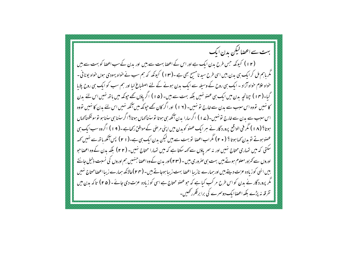بہت سے اعضالیکن بدن ایک (۱۲) کیونکہ جس طرح بدن ایک ہے اور اس کے اعضا بہت سے بیں اور بدن کےسب اعضا کو بہت سے بیں گر پاہم مل کر ایک ہی بدن بیں اسی طرح سید نامسح بھی ہے ۔(۱۳) کیونکہ کہ ہم سب نے خواہ یہودی ہوں خواہ یونا فی ۔ خواہ علام خواہ آزاد ۔ ایک ہی روح کے وسیلہ سے ایک بدن ہونے کے لئے اصطباع لیا اور ہم سب کو ایک ہی روح پلایا گیا۔(۱۴) چنانچہ یدن میں ایک ہی عصو نہیں بلکہ بہت سے بین۔(۵۱) اگر پاؤں کھے جونکہ میں باتھ نہیں اس لئے یدن کا نہیں تووہ اس سبب سے بدن سے خارج تو نہیں۔ ( ۱ ۲ ) اور اگر کان کھے جونکہ میں آنکھ نہیں اس لئے بدن کا نہیں تووہ اس سېب سے بدن سے خارج نو نہیں۔(پے ۱ ) اگر سارا بدن آنکھ یپی ہوتا نوسنناکھاں ہوتا؟اگر سننا یپی سننا ہو نوسونگھناکھاں ہوتا؟ (۱۸) مگر فی الواقع پرورد گار نے ہر ایک عصو کو بدن میں اپنی مرحنی کے موافق رکھاہے ۔(۱۹) اگروہ سب ایک ہی عصنو ہوتے تو بدن کہا ہوتا ؟ ( • ٢) مگر اب اعصا تو بہت سے بیں لیکن بدن ایک ہی ہے۔( ٢ I ) پس آئکھ باتھ سے نہیں کہه سکتی کہ میں تہاری محتاج نہیں اور نہ سمر باؤں سے کہہ سکتا ہے کہ میں تہارا محتاج نہیں۔ (۲۲) بلکہ بدن کے وہ اعضاجو اوروں سے محرور معلوم ہوتے ہیں بہت ہی صروری ہیں ۔ (۲۳)اور بدن کے وہ اعضا جنہیں ہم اوروں کی نسبت ذلیل حانتے بییں انہی کور بادہ عزت دیتے ہیں اور ہمارے نازیبا اعصا بہت زیبا ہوجاتے ہیں۔ (۲۴ )حالانکہ ہمارے زیبا اعصا محتاج نہیں مگر پرورد گار نے بدن کو اس طرح مر کب کیا ہے کہ حبو عصو محتاج ہے اسی کو زیادہ عزت دی جائے ۔ ( ۴ ۵ ) تاکہ بدن میں تفرقہ نہ پڑے ملکہ اعضاایک دوسمرے کی برابرفکررٹھیں۔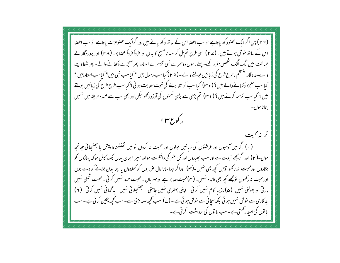(۲ ۲) پس اگر ایک عصو د کھ پاتاہے نو سب اعضا اس کے ساتھ د کھ پاتے ہیں اوراگرایک عصوعزت پاتاہے نو سب اعضا اس کے ساتھ حوش ہوتے ہیں۔ (۲۷ ) اسی طرح تم مل کر سید نامسیح کا بدن اور فر داً فرداً عضا ہو۔ (۲۸ ) اور پرورد گار نے حماعت میں الگ الگ شخص مقرر کئے۔ پہلے رسول دوسمرے نبی تیسرے استاد، پھر معجزے دکھانے والے۔ پھر شفا دینے والے-مدد گار، منتظم، طرح طرح کی زبانیں بولنےوالے۔ ( ۲ ۹ ) کیاسب رسول بیں ؟ کیاسب نبی بیں ؟ کیاسب استاد بیں ؟ کیا سب معجزہ دکھانے والے ہیں؟ ( ۳۰) کیا سب کو شفا دینے کی قوت عنایت ہوئی ؟ کیا سب طرح طرح کی زبانیں پولتے بیں ؟ کیاسب ترحمہ کرتے ہیں ؟ ( r ۲) تم بڑی سے بڑی نعمتوں کی آرزورکھولیکن اور بھی سب سے عمدہ طریقہ میں تہیں بتاتا ہوں۔ كوع ٣ ترانه محبت (۱) اگر میں آدمیوں اور فرشتوں کی زبانیں بولوں اور محبت نہ کروں تو میں ٹھنٹھناتا پیتل یا جھنجاتی حیانجھ ہوں۔( ۲ ) اور اگرمجھے نبوت ملے اور سب بھیدوں اور کل علم کی واقفیت ہو اور میرا ایمان یہاں تک کامل ہو کہ یہاڑوں کو ہٹادوں اورمحبت یہ رکھو تومیں تحیجہ بھی نہیں۔(س) اورا گر اپنا سارا مال عریبوں کو تھلادوں یا اپنا بدن جلانے کو دے دوں اورمحبت نہ رکھوں تومجھے کحچھ بھی فائدہ نہیں۔ (۴)محبت صابر ہے اورمہریان ۔ محبت حسد نہیں کرتی ۔ محبت شیخی نہیں مار تي اور پھولتي نہيں۔( ھ) نازيبا کام نہيں کرتی - اپنی بہتری نہيں چاہتی - جھنجلاتی نہيں- بدگمانی نہيں کرتی -( ٢) ید کاری سے خوش نہیں ہوتی بلکہ سحائی سے خوش ہوتی ہے ۔ (ے) سب تحچھ سہہ لیتی ہے۔ سب تحچھ یقین کرتی ہے ۔ سب یا توں کی امید رکھتی ہے۔ سب یا توں کی برداشت کرتی ہے۔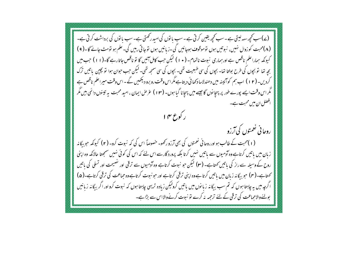(ے)سب تحجیرسہہ لیتی ہے ۔سب تحجیہ یقین کرتی ہے ۔سب یا نوں کی امید رکھتی ہے۔سب یا نوں کی برداشت کرتی ہے۔ (۸)محبت کوروال نہیں، نبوتیں ہوں توموقوف ہوجائیں گی۔زیانیں ہوں توجاتی رہیں گی۔علم ہو تومٹ جائے گا۔( ۹) کیونکہ ہماراعلم ناقص ہے اور ہماری نبوت ناتمام۔ ( • ۱ ) لیکن جب کامل آئیں گا تو ناقص حاتارہے گا۔( ۱ ۱ ) جب میں بجہ تھا تو بچوں کی طرح بولتا تھا۔ بچوں کی سی طبعیت تھی۔ بچوں کی سی سمجھ تھی۔ لیکن جب حوان ہوا تو بچپن پاتیں ترک کردیں۔ (۱۲) اب ہم کوآئینہ میں دھندلاسادکھائی دیتاہے مگراس وقت رو برو دیکھیں گے۔اس وقت میراعلم ناقص ہے مگر اس وقت ایسے پورے طور پر پہچا نوں گا جیسے میں پہچانا گیا ہوں۔ (۱۳) غرض ایمان ، امید محبت بیہ تینوں دائمی بیں مگر افضل ان میں محبت ہے۔ ر کوع ۴ ا روحا في نعمتوں كي آرزو (۱)محبت کے طالب ہو اورروحانی نعمتوں کی بھی آرزو رکھو۔ حصوصاً اس کی کہ نبوت کرو۔ (۲) کیونکہ حوبیگا نہ زبان میں باتیں کرتاہے وہ آدمیوں سے باتیں نہیں کرتا بلکہ پرورد گارسے اس لئے کہ اس کی کوئی نہیں سمجھتا حالانکہ وہ اپنی روح کے وسیلہ سے راز کی پاتیں کھتاہے۔ (۳) لیکن حو نبوت کرتاہے وہ آدمیوں سے ترقی اور تفسیحت اور تسلی کی پاتیں کھتاہے۔( سم) حبوبہ گانہ زبان میں باتیں کرتاہےوہ اپنی ترقی کرتاہے اور حبونبوت کرتاہےوہ حماعت کی ترقی کرتاہے۔( ۵) ا گرچہ میں بہ چاہتا ہوں کہ تم سب بیگانہ زبانوں میں پاتیں کرولیکن زیادہ تریہی چاہتا ہوں کہ نبوت کرواور اگر بیگانہ زبانیں بولنےوالاجماعت کی ترقی کے لئے ترجمہ نہ کرے تو نبوت کرنےوالااس سے بڑاہے۔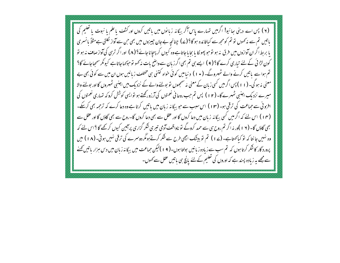( ۲ ) پس اے دینی ہعائیو! اگرمیں تہارے پاس آکر بیگانہ زبانوں میں باتیں کروں اور کشف یا علم یا نبوت یا تعلیم کی باتیں تم سے نہ کھوں تو تم کومجھ سے کیافائدہ ہو گا؟ (ے) چنانچہ بے جان چیزوں میں بھی حن سے آواز نکلتی ہےمثلاً پانسری یا بربط اگران آوازوں میں فرق بنہ ہو توجو پھو کا یا جاتا ہے وہ کیوں کر پہچاناجائے؟ ( ۸ ) اور اگر تربی کی آوازصاف نہ ہو تو کون لڑا ئی کے لئے تیاری کرے گا؟ ( ۹ ) ایسے ہی تم بھی اگر زبان سے واضح بات نہ کہو توحوکہاجاتاہے کیونکر سمحاجائے گا؟ تم ہوا سے پاتیں کرنے والے ٹھہروگے۔ ( • ۱ ) د نیامیں کوئی خواہ کتنی ہی مختلف زبانیں ہوں ان میں سے کوئی بھی بے معنی نہ ہو گی۔ (۱۱) پس اگر میں کسی زبان کے معنی نہ سمجھوں تو بولنے والے کے نزدیک میں اجنسی ٹھہروں گا اور بولنے والا میرے نزدیک اجنبی ٹھہرے گا۔ (۱۲) پس تم جب روحانی نعمتوں کی آرزورکھتے ہو توایسی کوشش کروکہ تہاری نعمتوں کی افرونی سے حماعت کی ترقی ہو۔ (۱۳) اس سبب سے حوبیگانہ زبان میں باتیں کرتا ہے وہ دعا کرے کہ ترجمہ بھی کرسکے۔ ( ۱ ۴ ) اس لئے کہ اگر میں کسی بیگانہ زبان میں دعا کروں گا اور عقل سے بھی دعا کروں گا-روح سے بھی گاؤں گا اور عقل سے بھی گاؤں گا۔ ( ۲ ۱ )ور نہ اگر تم روح ہی سے حمد کروگے تو ناواقف آدمی تیری شکر گزاری پرآمین کیوں کر کھے گا ؟ اس لئے کہ وہ نہیں جانتا کہ تو کیاکھتاہے۔ (ے ا ) تم تو بیٹنگ اچھی طرح سے شکر کرتےہومگر دوسمرے کی ترقی نہیں ہوتی۔ (۱۸) میں پرورد گار کاشکر کرتا ہوں کہ تم سب سے زیادہ زبانیں بولتا ہوں۔( ۱۹)لیکن حماعت میں بیگانہ زبان میں دس ہزار پاتیں کھنے سے مجھے ہہ زیادہ پسند ہے کہ اوروں کی تعلیم کے لئے پانچ ہی باتیں عقل سے کھوں۔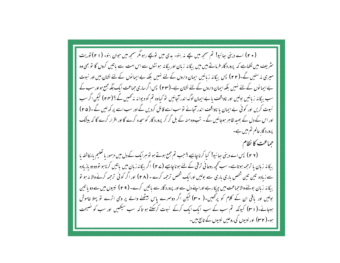(۲۰) اے دینی سائیو! تم سمجھ میں بچے نہ بنو۔ بدی میں توبچے رہو مگر سمجھ میں حوان بنو۔ (۲۱) توریت سٹریف میں لکھاہے کہ پرورد گار فرماتے ہیں میں بیگانہ زبان اور بیگانہ ہونٹوں سے اس امت سے باتیں کروں گا تو بھی وہ میری نہ سنیں گے۔(۲۲) پس بیگانہ زبانیں ایمان داروں کے لئے نہیں بلکہ بے ایمانوں کے لئے نشان بیں اور نبوت بے ایمانوں کے لئے نہیں بلکہ ایمان داروں کے لئے نشان ہے۔(۲۳) پس اگر ساری حماعت ایک جگہ جمع ہواور سب کے سب بیگانہ زبانیں بولیں اور ناواقف با بے ایمان لوگ اندر آجائیں تو کیاوہ تم کو دیوانہ نہ ٹھیں گے ؟ (۲۴) لیکن اگر سب نبوت کریں اور کوئی بے ایمان یا ناواقف اندر آجائے توسب اسے قائل کردیں گے اور سب اسے پر کھ لیں گے ۔( ۴ ۵ ) اور اس کے دل کے بصد ظاہر ہوجائیں گے۔ تب وہ منہ کے بل گر کر پرورد گار کو سحدہ کرے گا اور اقرار کرے گا کہ بیشک | پرورد گار عالم تم میں ہے۔ حماعت كا نظام (۲ ۲) پس اے دینی سائیو! کیا کرناچاہیے ؟ حب تم جمع ہوتے ہو تو ہرایک کے دل میں مزمور یا تعلیم بامکاشفہ یا بیگانہ زبان یا ترحمہ ہوتاہے۔سب کحپھ روحانی ترقی کے لئے ہوناچاہیے (ے ۲) اگر بیگانہ زبان میں باتیں کرناہو تو دو دو بازبادہ سے زیادہ تین تین شخص باری باری سے بولیں اورایک شخص ترجمہ کرے ۔ ( ۲۸ ) اور اگر کوئی ترجمہ کرنے والا نہ ہو تو بیگانہ زبان بولنے والاحماعت میں چیکارہے اوراپنے دل سے اور پرورد گار سے پاتیں کرے۔ ( ۲ ۹ ) نبیوں میں سے دو یا تین بولیں اور یاقی ان کے کلام کو پر تھیں۔( ۳۰) لیکن اگر دوسرے پاس بیٹھنے والے پر وحی اترے تو پہلا خاموش ہوجائے۔( ا سا) کیونکہ تم سب کے سب ایک ایک کرکے نبوت کرسکتے ہو تاکہ سب سیکھیں اور سب کو نصیحت | ہو۔**( ۲**۳) اور نبیوں کی روحیں نبیوں کے تابع بی<u>ں</u>۔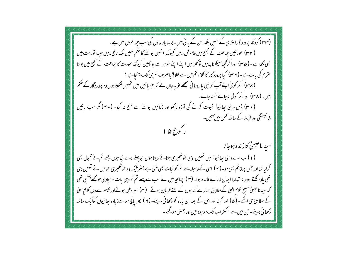(۳۳) کیونکہ پرورد گار ابتری کے نہیں بلکہ امن کے پانی بیں -جیسا پارساؤں کی سب حماعتوں میں ہے۔ (۳۴) عورتیں حماعت کے مجمع میں خاموش رہیں کیونکہ انہیں بولنے کا حکم نہیں بلکہ تابع رہیں جیسا توریت میں بھی لکھاہے **۔ ( ۳۵ )** اورا گر کچھ سیکھنا چاہیں تو گھر میں اپنے اپنے شوہر سے پوچییں کیونکہ عورت کا حماعت کے مجمع میں بولنا سٹرم کی بات ہے۔ ( ۲ سا) کیا پرورد گار کا گلام تم میں سے لکل<sup>9</sup> باصرف تم ہی تک پہنچاہے ؟ (ے۳) اگر کوئی اپنےآپ کو نبی باروحانی سمجھے نو بہ جان لے کہ حو ماتیں میں تہیں لکھتا ہوں وہ پرورد گار کے صحم ییں۔(۳۸) اوراگر کوئی نہ جانے تو نہ جانے۔ (۳۹) پس دینی سائیو! نبوت کرنے کی آرزو رکھو اور زبانیں بولنے سے منع نہ کرو۔ (۴۰) مگر سب ہاتیں شائىيىتكى اور قرينہ كے ساتھ عمل ميں آئيں۔ ر کورع ۱۵ سىد ناغىيىلى كاز ندە ہوجانا (۱)اب اے دینی سائیو! میں تہمیں وہی خوشخبری جتائے دیتا ہوں حوپہلے دے جکا ہوں جے تم نے قبول بھی کرلیا تھااور حس پر قائم بھی ہو۔ ( ۲ ) اسی کے وسیلہ سے تم کو نحات بھی ملتی ہے بسٹر طیکہ وہ خوشخبری حومیں نے تہیں دی تھی یاد رکھتے ہوور نہ تہ<sub>ا</sub>را ایمان لانا بے فائدہ ہوا۔ (۳) چنانچہ میں نے سب سے پہلے تم کووہی بات پہنچادی ح<u>ومجھ</u> پہنچی تھی کہ سید ناعیسیٰ مسح کلام الهیٰ کےمطابق ہمارے گناہوں کے لئے قریان ہوئے۔(مہ) اور دفن ہوئےاور تیسرے دن کلام الهیٰ کے مطابق جی اٹھے۔ (۵) اور کیفا اور اس کے بعد ان بارہ کو دکھائی دیئے۔ (۲) پھر پانچ سوسےزیادہ ہعائیوں کوایک ساتھ د کچھائی دیئے۔حن میں سے اکثر اب تک موجود بیں اور بعض سوگئے۔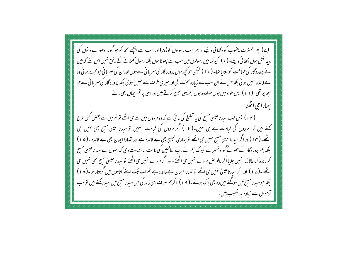(ے) بھر حصرت یعقوب کو دکھائی دئیے ، پھر سب رسولوں کو( ۸) اور سب سے پیچھے محم*ہ* کو حبو گویا ادھورے دیوں کی پیدائش ہوں دکھائی دیئے۔( ۹ ) کیونکہ میں رسولوں میں سب سے چھوٹا ہوں بلکہ رسول کھلانے کے لائق نہیں اس لئے کہ میں نے پرورد گار کی حماعت کو ستایا تھا۔ ( • ۱ ) کیکن حوتحیے ہوں پرورد گار کی مہر یا نی سے ہوں اور ان کی مہر یا نی حومحھ پر ہوئی وہ بے فائدہ نہیں ہوئی بلکہ میں نے ان سب سے زیادہ محنت کی اورمیری طرف سے نہیں ہوئی بلکہ پرورد گار کی مہر یا فی سے حو مجھ پر تھی۔( ۱ ۱ ) پس خواہ میں ہوں خواہ وہ ہوں ہم یہی تبلیغ کرتے ہیں اور اسی پر تم ایمان بھی لائے۔ سماراحي اٹھنا (۱۲) پس جب سید ناعیسیٰ مسح کی یہ تبلیغ کی حاتی ہے کہ وہ مردوں میں سے حی اٹھے تو تم میں سے بعض کس طرح تھتے ہیں کہ مردوں کی قیامت ہے ہی نہیں۔(۱۳) اگر مردوں کی قیامت نہیں تو سیدنا عیسیٰ مسح بھی نہیں جی اٹھے۔( ۱۴ )اور اگر سید ناعیسیٰ مسح نہیں جی اٹھے تو ہماری تبلیغ بھی بے فائدہ ہے اور تہارا ایمان بھی بے فائدہ ۔( ۵ ا ) بلکہ ہم پرورد گار کے جھوٹے گواہ ٹھہرے کیونکہ ہم نے رب العالمین کی بابت یہ شہادت دی کہ انہوں نے سید ناعیسیٰ مسح کو زندہ کیا حالانکہ نہیں جلایا اگر بالفرص مردے نہیں جی اٹھتے۔اور اگر مردے نہیں جی اٹھتے تو سید ناعیسیٰ مسح بھی نہیں جی اٹھے۔(ے ۱ ) اور اگر سید ناعیسیٰ نہیں حی اٹھے نو تہارا ایمان بے فائدہ ہے تم اب تک اپنے گناہوں میں گرفتار ہو۔(۱ ۸ ) بلکہ حبوسید نامسح میں سوگئے،میں وہ بھی ہلاک ہوئے۔( ۱۹ ) اگر ہم صرف اسی زند کی میں سبد نامسح میں امبد رکھتے،میں نوسب آدمیوں سے زیادہ پد نصیب،میں۔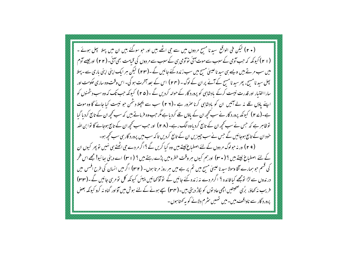(+ ٢) لیکن فی الواقع سیدنا مسح مردوں میں سے جی اٹھے ہیں اور حو سوگئے ہیں ان میں پہلا بچل ہوئے ۔ (۱۲) کیونکہ کہ جب آدمی کے سبب سے موت آئی توآدمی سی کے سبب سے مردوں کی قیامت بھی آئی۔(۲۲) اورجیسے آدم میں سب مرتے بیں ویسے ہی سید ناعیسیٰ مسح میں سب زندہ کئے جائیں گے ۔(۲۳) لیکن میر ایک اپنی اپنی باری سے ۔ پہلا بچل سید نامسح، بھرسید نامسح کے آنے پر ان کے لوگ ۔ (۲۴) اس کے بعد آخرت ہو گی۔ اس وقت وہ ساری حکومت اور بیارااختیار اور قدرت نیست کرکے بادشاہی کو پرورد گار کے حوالہ کردیں گے ۔( ۲۵ ) کیونکہ جب تک کہ وہ سب دشمنوں کو اپنے پاؤں تلے نہ لے آئیں ان کو بادشاہی کرنا صرور ہے ۔(۲ ۲) سب سے پچھلا دشمن حو نیست کیا جائے گا وہ موت ہے۔(ے ۲) کیونکہ پرورد گار نے سب کحچھ ان کے باؤں تلے کردیا ہے مگر جب وہ فرماتے بیں کہ سب کحچھ ان کے تابع کردیا گیا توظاہر ہے کہ حس نے سب تحیحہ ان کے تابع کردیاوہ الگ رہے۔ ( ۲ م) اور حب سب تحیمہ ان کے تابع ہوجائے گا نوا بن الله خود ان کے تابع ہوجائیں گے جس نے سب چیپزیں ان کے تابع کردیں تاکہ سب میں پرورد گار ہی سب کحچھ ہو۔ ( ۲۹ ) ور نہ حولوگ مر دوں کے لئےاصطباع بیتے بیں وہ کیا کریں گے ؟ اگر مردے جی اٹھتے ہی نہیں تو پھر کیوں ان کے لئے اصطباع لیتے ہیں ؟ ( • سا) اورہم کیوں ہر وقت خطرہ میں پڑے رہتے ہیں ؟ ( ۱ سا) اے دینی بھائیو! مجھے اس فخر کی قسم حو ہمارے آقا ومولا سید نا عیسیٰ مسح میں تم پر ہے میں ہر روز مر تا ہوں۔ ( ۳۲) اگر میں انسان کی طرح افسں میں در ندوں سے لڑا تومجھے کیا فائدہ ؟ اگرمردے نہ زندہ کئے جائیں گے توآؤ محیائیں پیئں کیونکہ کل تو مربی جائیں گے ۔(۳۳) فریب نہ کھاؤ، بڑی صحبتیں اچھی عاد توں کو لگاڑ دیتی ہیں۔( ۳۴) سیچے ہونے کے لئے ہوش میں آؤاور گناہ نہ کرو کیونکہ بعض پرورد گار سے ناواقف بیں۔میں تہیں سثر م دلانے کو یہ کھتا ہوں ۔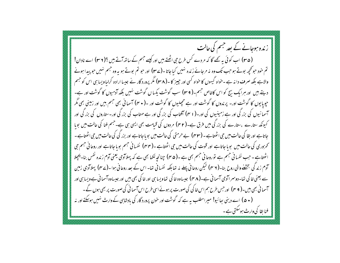زندہ ہوجانے کے بعد جسم کی جالت (۳۵) اب کوئی یہ بھے گا کہ مردے کس طرح جی اٹھتے ہیں اور کیسے جسم کے ساتھ آتے ہیں ؟(۳۶) اے نادان! تم خود حو تحچھ بوتے ہو جب تک وہ نہ مرحائے زندہ نہیں کیاجاتا -(ے۳) اور حو تم بوتے ہو بہ وہ جسم نہیں حو پیدا ہونے والاہے بلکہ صرف دانہ ہے ۔خواہ گیہوں کا خواہ کسی اور چییز کا -( ۳۸) مگر پرورد گار نے جیسا ارادہ کرلیا ویسا ہی اس کو جسم دیتے بیں اور ہرایک بیج کو اس کاخاص جسم۔( ۳۹) سب گوشت بکیا ں گوشت نہیں بلکہ آدمیوں کا گوشت اور ہے۔ حیوبا یوں کا گوشت اور۔ پر ندوں کا گوشت اور ہے مجھلیوں کا گوشت اور ۔( • ۴) آسمانی بھی جسم بیں اور زمینی بھی مگر آسمانیوں کی بزر گی اور ہے زمینیوں کی اور۔( ا مہ) آفتاب کی بزر گی اور ہے مہتاب کی بزر گی اور۔ستاروں کی بزر گی اور کیونکہ ستارے ،ستارے کی بزر گی میں فرق ہے۔( ۴۲) مردوں کی قیامت بھی ایسی سی ہے۔جسم فنا کی حالت میں بوبا حاتاہے اور نقا کی حالت میں حی اٹھتاہے ۔ (۴۳) بے حرمتی کی حالت میں بوباجاتاہے اور بزر کی کی حالت میں حی اٹھتاہے ۔ تحمزوری کی حالت میں بو ما جاتاہے اور قوت کی حالت میں جی اٹھتاہے ۔(۴۴) نفسانی جسم بویا جاتاہے اور روحانی جسم جی اٹھتاہے ۔ جب نفسانی جسم ہے توروحانی جسم بھی ہے ۔( ۴۵ ) چنانچہ لکھا بھی ہے کہ پہلاآدمی یعنی آدم زندہ نفس بنا۔ پچپلا آدم زندگی بخشنے والی روح بنا۔( ۲ مہ) لیکن روحانی پہلے نہ تعابلکہ نفسانی تعا- اس کے بعد روحانی ہوا۔( ۷ م) پہلاآدى زمين سے یعنی خاکی تعا-دوسمرا آدمی آسما فی ہے-( ۴۸ ) جیساوہ خاکی تعاویسا ہی اور خاکی بھی بیں اور جیساوہ آسما فی ہے ویسا ہی اور آسما فی بھی بیں۔( ۴ مہ) اور حس طرح ہم اس خاکی کی صورت پر ہوئے اسی طرح اس آسما فی کی صورت پر بھی ہوں گے۔ ( • ۵ ) اسے دینی سائیو! میرامطلب یہ ہے کہ گوشت اور خون پرورد گار کی بادشاہی کے وارث نہیں ہوسکتے اور نہ فنا نقا کی وارث ہوسکتی ہے۔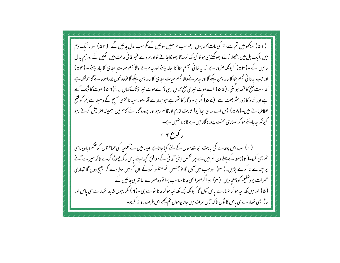(۱۵۱) دیکھومیں تم سے راز کی بات کھتاہوں۔ہم سب نو نہیں سوئیں گے مگر سب بدل جائیں گے۔(۵۲) اور یہ ایک دم میں ،ایک پل میں، پیچلا نرسڈگا پھونکتے ہی ہو گا کیونکہ نرسڈگا پھولکاجائے گااور مر دے عنیر فا فی حالت میں اٹھیں گے اورہم بدل جائیں گے ۔(۵۳) کیونکہ صرور ہے کہ یہ فانی حجسم بقا کا جاہ پہنے اور یہ مرنے والاجسم حیات ایدی کا جاہ پہنے ۔ (۵۴) اورحب بہ فا فی جسم بقا کا جامہ بہن چکے گا اور یہ مرنے والا جسم حیات ایدی کا جامہ بہن چکے گا تووہ قول پورا ہوجانے گا حولکھاہے کہ موت فتح کالقمہ ہوگئی۔( ۵۵ ) اے موت تیری فتح کہاں رہی ؟اے موت تیراڈنک کہاں رہا ؟( ۷ ۵ ) موت کاڈنک گناہ ہے اور گناہ کا زور سٹریعت ہے۔(ے ۵) مگر پرورد گار کا شکرہے جو ہمارے آقا ومولا سید نا عیسیٰ مسح کے وسیلہ سے ہم کو فتح عطافرماتے ہیں۔( ۵۸ ) پس اے دینی سائیو! ثابت قدم اورقائم رہو اور پرورد گار کے کام میں ہمیشہ افزایش کرتے رہو کیونکہ یہ جانتے ہو کہ تہاری محنت پرورد گارمیں بے فائدہ نہیں ہے۔ ر کوع ۲ ۱ (۱) اب اس چندے کی بابت حومقدسوں کے لئے کیاجاتاہے جیسامیں نے گلنسہ کی جماعتوں کو حکم دیاویسا ہی تم بھی کرو۔( ۲)ہفتہ کے پہلے دن تم میں سے ہر شخص اپنی آمد نی کے موافق کحچھ اپنے پاس رکھ چھوڑا کرے تا کہ میرے آنے پر چندے نہ کرنے پڑیں۔( ۳) اور جب میں آؤں گا نوجنہیں تم منظور کروگے ان کو میں خط دے کر بھیج دوں گا تہاری خبیرات پروشلیم کو پہنچادیں۔( مہ) اورا گرمیرا بھی جانامناسب ہوا تووہ میرے ساتھ ہی جائیں گے۔ (۵) اورمیں مکد نبہ ہو کر تہارے پاس آؤں گا کیونکہ مجھے مکد نبہ ہو کر جانا تو ہے ہی ۔(۲) مگر رہوں شاید تہارے ہی پاس اور جاڑا بھی نہارے ہی پاس کا ٹوں تاکہ جس طرف میں جاناچاہوں تم مجھے اس طرف روا نہ کردو۔